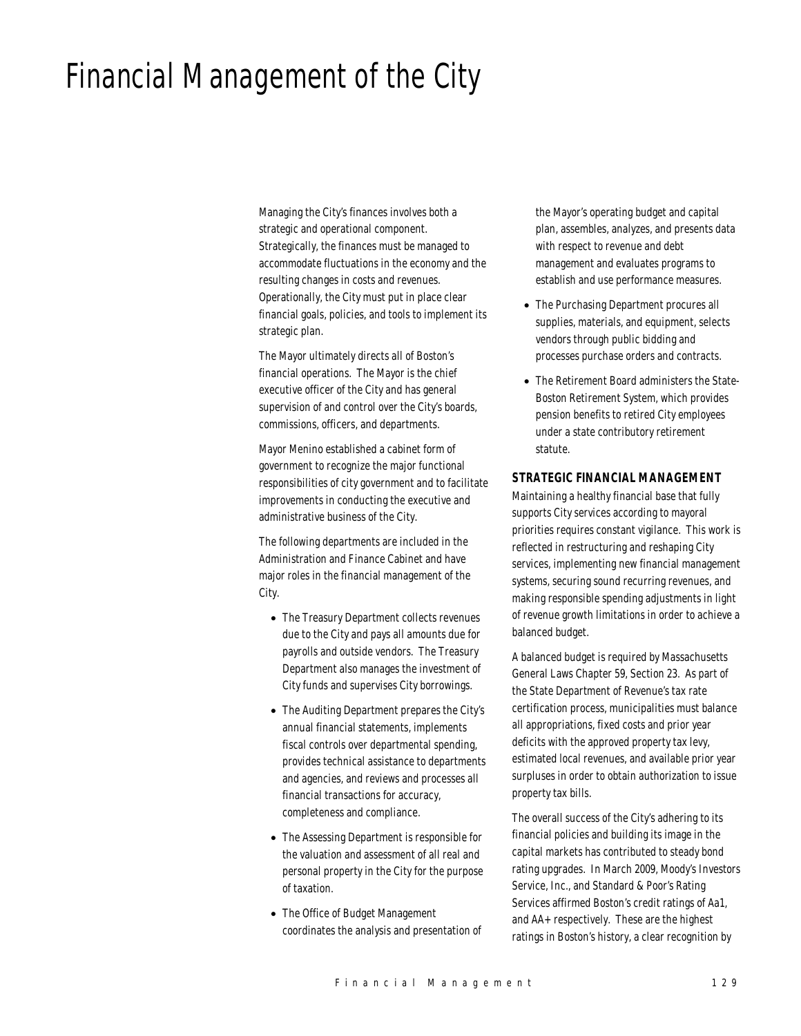# Financial Management of the City

Managing the City's finances involves both a strategic and operational component. Strategically, the finances must be managed to accommodate fluctuations in the economy and the resulting changes in costs and revenues. Operationally, the City must put in place clear financial goals, policies, and tools to implement its strategic plan.

The Mayor ultimately directs all of Boston's financial operations. The Mayor is the chief executive officer of the City and has general supervision of and control over the City's boards, commissions, officers, and departments.

Mayor Menino established a cabinet form of government to recognize the major functional responsibilities of city government and to facilitate improvements in conducting the executive and administrative business of the City.

The following departments are included in the Administration and Finance Cabinet and have major roles in the financial management of the City.

- The Treasury Department collects revenues due to the City and pays all amounts due for payrolls and outside vendors. The Treasury Department also manages the investment of City funds and supervises City borrowings.
- The Auditing Department prepares the City's annual financial statements, implements fiscal controls over departmental spending, provides technical assistance to departments and agencies, and reviews and processes all financial transactions for accuracy, completeness and compliance.
- The Assessing Department is responsible for the valuation and assessment of all real and personal property in the City for the purpose of taxation.
- The Office of Budget Management coordinates the analysis and presentation of

the Mayor's operating budget and capital plan, assembles, analyzes, and presents data with respect to revenue and debt management and evaluates programs to establish and use performance measures.

- The Purchasing Department procures all supplies, materials, and equipment, selects vendors through public bidding and processes purchase orders and contracts.
- The Retirement Board administers the State-Boston Retirement System, which provides pension benefits to retired City employees under a state contributory retirement statute.

## *STRATEGIC FINANCIAL MANAGEMENT*

Maintaining a healthy financial base that fully supports City services according to mayoral priorities requires constant vigilance. This work is reflected in restructuring and reshaping City services, implementing new financial management systems, securing sound recurring revenues, and making responsible spending adjustments in light of revenue growth limitations in order to achieve a balanced budget.

A balanced budget is required by Massachusetts General Laws Chapter 59, Section 23. As part of the State Department of Revenue's tax rate certification process, municipalities must balance all appropriations, fixed costs and prior year deficits with the approved property tax levy, estimated local revenues, and available prior year surpluses in order to obtain authorization to issue property tax bills.

The overall success of the City's adhering to its financial policies and building its image in the capital markets has contributed to steady bond rating upgrades. In March 2009, Moody's Investors Service, Inc., and Standard & Poor's Rating Services affirmed Boston's credit ratings of Aa1, and AA+ respectively. These are the highest ratings in Boston's history, a clear recognition by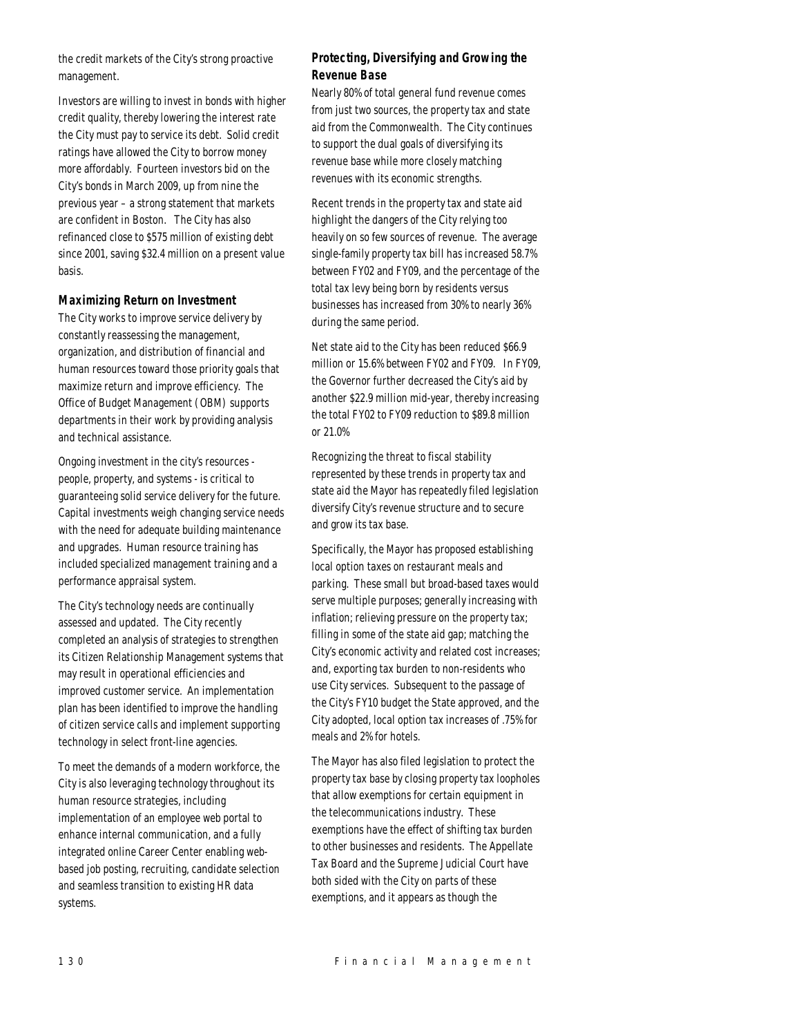the credit markets of the City's strong proactive management.

Investors are willing to invest in bonds with higher credit quality, thereby lowering the interest rate the City must pay to service its debt. Solid credit ratings have allowed the City to borrow money more affordably. Fourteen investors bid on the City's bonds in March 2009, up from nine the previous year – a strong statement that markets are confident in Boston. The City has also refinanced close to \$575 million of existing debt since 2001, saving \$32.4 million on a present value basis.

## *Maximizing Return on Investment*

The City works to improve service delivery by constantly reassessing the management, organization, and distribution of financial and human resources toward those priority goals that maximize return and improve efficiency. The Office of Budget Management (OBM) supports departments in their work by providing analysis and technical assistance.

Ongoing investment in the city's resources people, property, and systems - is critical to guaranteeing solid service delivery for the future. Capital investments weigh changing service needs with the need for adequate building maintenance and upgrades. Human resource training has included specialized management training and a performance appraisal system.

The City's technology needs are continually assessed and updated. The City recently completed an analysis of strategies to strengthen its Citizen Relationship Management systems that may result in operational efficiencies and improved customer service. An implementation plan has been identified to improve the handling of citizen service calls and implement supporting technology in select front-line agencies.

To meet the demands of a modern workforce, the City is also leveraging technology throughout its human resource strategies, including implementation of an employee web portal to enhance internal communication, and a fully integrated online Career Center enabling webbased job posting, recruiting, candidate selection and seamless transition to existing HR data systems.

# *Protecting, Diversifying and Growing the Revenue Base*

Nearly 80% of total general fund revenue comes from just two sources, the property tax and state aid from the Commonwealth. The City continues to support the dual goals of diversifying its revenue base while more closely matching revenues with its economic strengths.

Recent trends in the property tax and state aid highlight the dangers of the City relying too heavily on so few sources of revenue. The average single-family property tax bill has increased 58.7% between FY02 and FY09, and the percentage of the total tax levy being born by residents versus businesses has increased from 30% to nearly 36% during the same period.

Net state aid to the City has been reduced \$66.9 million or 15.6% between FY02 and FY09. In FY09, the Governor further decreased the City's aid by another \$22.9 million mid-year, thereby increasing the total FY02 to FY09 reduction to \$89.8 million or 21.0%

Recognizing the threat to fiscal stability represented by these trends in property tax and state aid the Mayor has repeatedly filed legislation diversify City's revenue structure and to secure and grow its tax base.

Specifically, the Mayor has proposed establishing local option taxes on restaurant meals and parking. These small but broad-based taxes would serve multiple purposes; generally increasing with inflation; relieving pressure on the property tax; filling in some of the state aid gap; matching the City's economic activity and related cost increases; and, exporting tax burden to non-residents who use City services. Subsequent to the passage of the City's FY10 budget the State approved, and the City adopted, local option tax increases of .75% for meals and 2% for hotels.

The Mayor has also filed legislation to protect the property tax base by closing property tax loopholes that allow exemptions for certain equipment in the telecommunications industry. These exemptions have the effect of shifting tax burden to other businesses and residents. The Appellate Tax Board and the Supreme Judicial Court have both sided with the City on parts of these exemptions, and it appears as though the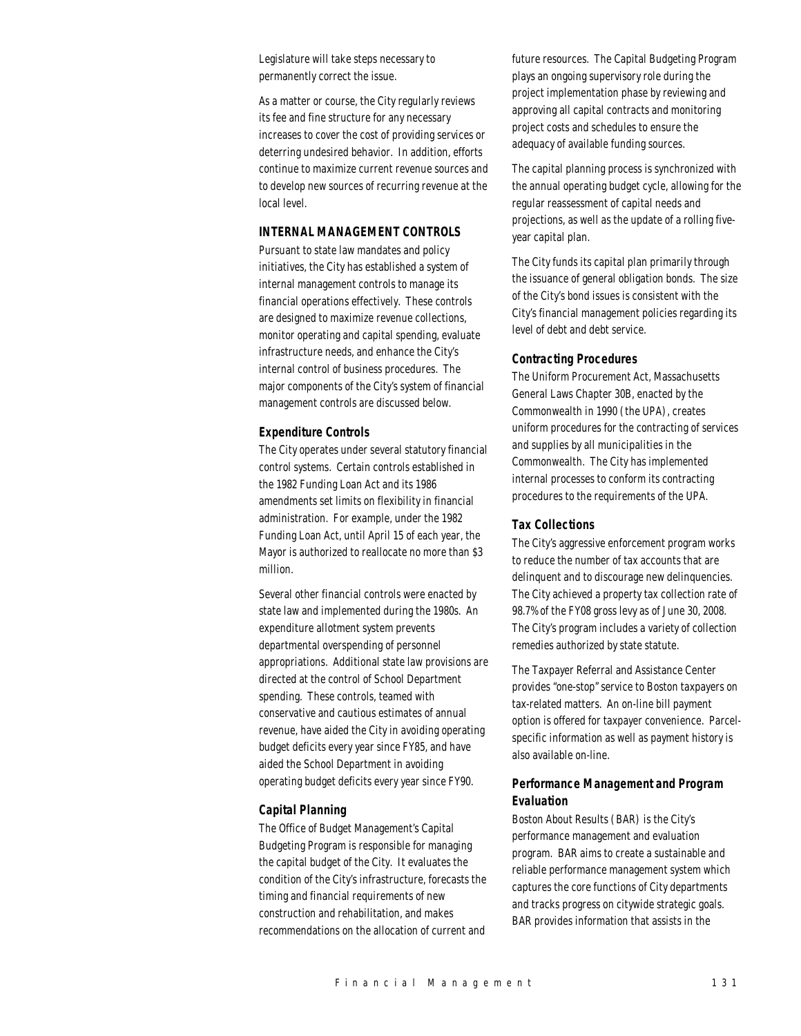Legislature will take steps necessary to permanently correct the issue.

As a matter or course, the City regularly reviews its fee and fine structure for any necessary increases to cover the cost of providing services or deterring undesired behavior. In addition, efforts continue to maximize current revenue sources and to develop new sources of recurring revenue at the local level.

## *INTERNAL MANAGEMENT CONTROLS*

Pursuant to state law mandates and policy initiatives, the City has established a system of internal management controls to manage its financial operations effectively. These controls are designed to maximize revenue collections, monitor operating and capital spending, evaluate infrastructure needs, and enhance the City's internal control of business procedures. The major components of the City's system of financial management controls are discussed below.

## *Expenditure Controls*

The City operates under several statutory financial control systems. Certain controls established in the 1982 Funding Loan Act and its 1986 amendments set limits on flexibility in financial administration. For example, under the 1982 Funding Loan Act, until April 15 of each year, the Mayor is authorized to reallocate no more than \$3 million.

Several other financial controls were enacted by state law and implemented during the 1980s. An expenditure allotment system prevents departmental overspending of personnel appropriations. Additional state law provisions are directed at the control of School Department spending. These controls, teamed with conservative and cautious estimates of annual revenue, have aided the City in avoiding operating budget deficits every year since FY85, and have aided the School Department in avoiding operating budget deficits every year since FY90.

## *Capital Planning*

The Office of Budget Management's Capital Budgeting Program is responsible for managing the capital budget of the City. It evaluates the condition of the City's infrastructure, forecasts the timing and financial requirements of new construction and rehabilitation, and makes recommendations on the allocation of current and

future resources. The Capital Budgeting Program plays an ongoing supervisory role during the project implementation phase by reviewing and approving all capital contracts and monitoring project costs and schedules to ensure the adequacy of available funding sources.

The capital planning process is synchronized with the annual operating budget cycle, allowing for the regular reassessment of capital needs and projections, as well as the update of a rolling fiveyear capital plan.

The City funds its capital plan primarily through the issuance of general obligation bonds. The size of the City's bond issues is consistent with the City's financial management policies regarding its level of debt and debt service.

## *Contracting Procedures*

The Uniform Procurement Act, Massachusetts General Laws Chapter 30B, enacted by the Commonwealth in 1990 (the UPA), creates uniform procedures for the contracting of services and supplies by all municipalities in the Commonwealth. The City has implemented internal processes to conform its contracting procedures to the requirements of the UPA.

## *Tax Collections*

The City's aggressive enforcement program works to reduce the number of tax accounts that are delinquent and to discourage new delinquencies. The City achieved a property tax collection rate of 98.7% of the FY08 gross levy as of June 30, 2008. The City's program includes a variety of collection remedies authorized by state statute.

The Taxpayer Referral and Assistance Center provides "one-stop" service to Boston taxpayers on tax-related matters. An on-line bill payment option is offered for taxpayer convenience. Parcelspecific information as well as payment history is also available on-line.

# *Performance Management and Program Evaluation*

Boston About Results (BAR) is the City's performance management and evaluation program. BAR aims to create a sustainable and reliable performance management system which captures the core functions of City departments and tracks progress on citywide strategic goals. BAR provides information that assists in the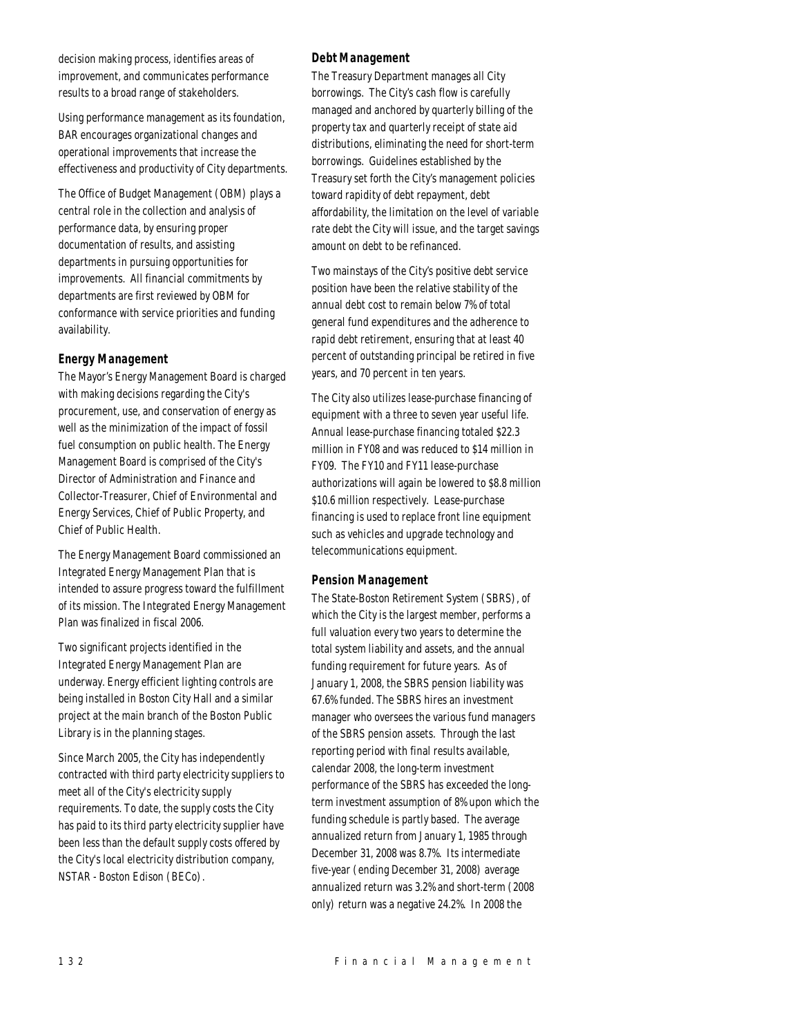decision making process, identifies areas of improvement, and communicates performance results to a broad range of stakeholders.

Using performance management as its foundation, BAR encourages organizational changes and operational improvements that increase the effectiveness and productivity of City departments.

The Office of Budget Management (OBM) plays a central role in the collection and analysis of performance data, by ensuring proper documentation of results, and assisting departments in pursuing opportunities for improvements. All financial commitments by departments are first reviewed by OBM for conformance with service priorities and funding availability.

# *Energy Management*

The Mayor's Energy Management Board is charged with making decisions regarding the City's procurement, use, and conservation of energy as well as the minimization of the impact of fossil fuel consumption on public health. The Energy Management Board is comprised of the City's Director of Administration and Finance and Collector-Treasurer, Chief of Environmental and Energy Services, Chief of Public Property, and Chief of Public Health.

The Energy Management Board commissioned an Integrated Energy Management Plan that is intended to assure progress toward the fulfillment of its mission. The Integrated Energy Management Plan was finalized in fiscal 2006.

Two significant projects identified in the Integrated Energy Management Plan are underway. Energy efficient lighting controls are being installed in Boston City Hall and a similar project at the main branch of the Boston Public Library is in the planning stages.

Since March 2005, the City has independently contracted with third party electricity suppliers to meet all of the City's electricity supply requirements. To date, the supply costs the City has paid to its third party electricity supplier have been less than the default supply costs offered by the City's local electricity distribution company, NSTAR - Boston Edison (BECo).

## *Debt Management*

The Treasury Department manages all City borrowings. The City's cash flow is carefully managed and anchored by quarterly billing of the property tax and quarterly receipt of state aid distributions, eliminating the need for short-term borrowings. Guidelines established by the Treasury set forth the City's management policies toward rapidity of debt repayment, debt affordability, the limitation on the level of variable rate debt the City will issue, and the target savings amount on debt to be refinanced.

Two mainstays of the City's positive debt service position have been the relative stability of the annual debt cost to remain below 7% of total general fund expenditures and the adherence to rapid debt retirement, ensuring that at least 40 percent of outstanding principal be retired in five years, and 70 percent in ten years.

The City also utilizes lease-purchase financing of equipment with a three to seven year useful life. Annual lease-purchase financing totaled \$22.3 million in FY08 and was reduced to \$14 million in FY09. The FY10 and FY11 lease-purchase authorizations will again be lowered to \$8.8 million \$10.6 million respectively. Lease-purchase financing is used to replace front line equipment such as vehicles and upgrade technology and telecommunications equipment.

## *Pension Management*

The State-Boston Retirement System (SBRS), of which the City is the largest member, performs a full valuation every two years to determine the total system liability and assets, and the annual funding requirement for future years. As of January 1, 2008, the SBRS pension liability was 67.6% funded. The SBRS hires an investment manager who oversees the various fund managers of the SBRS pension assets. Through the last reporting period with final results available, calendar 2008, the long-term investment performance of the SBRS has exceeded the longterm investment assumption of 8% upon which the funding schedule is partly based. The average annualized return from January 1, 1985 through December 31, 2008 was 8.7%. Its intermediate five-year (ending December 31, 2008) average annualized return was 3.2% and short-term (2008 only) return was a negative 24.2%. In 2008 the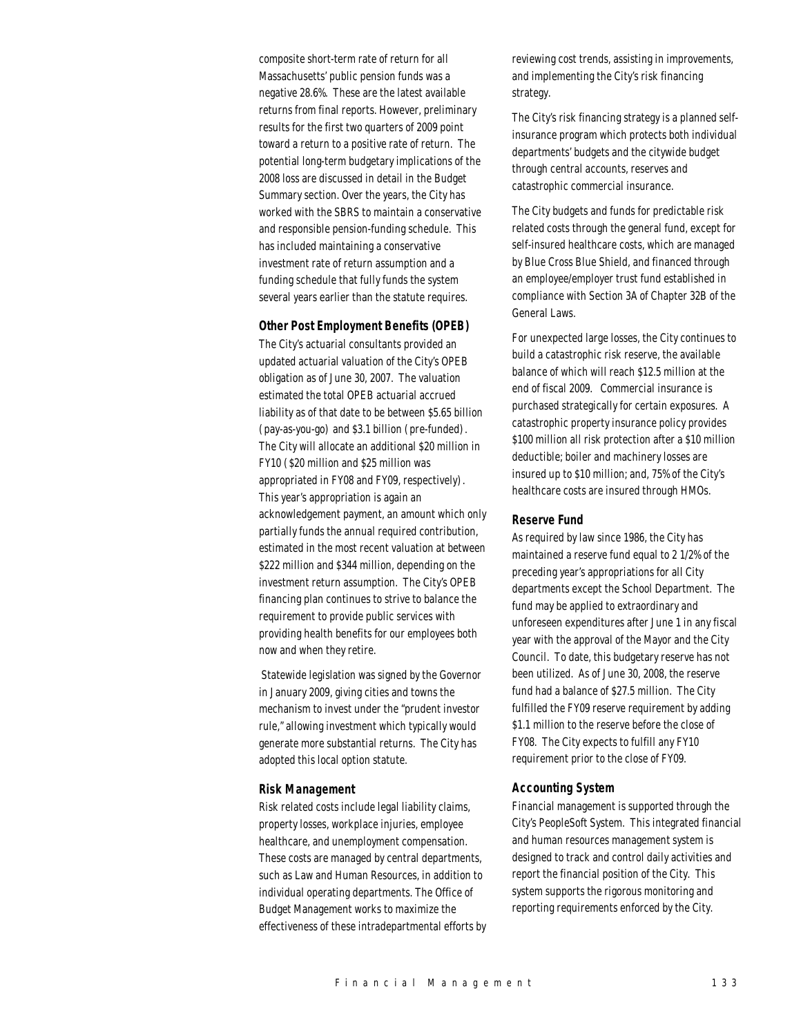composite short-term rate of return for all Massachusetts' public pension funds was a negative 28.6%. These are the latest available returns from final reports. However, preliminary results for the first two quarters of 2009 point toward a return to a positive rate of return. The potential long-term budgetary implications of the 2008 loss are discussed in detail in the Budget Summary section. Over the years, the City has worked with the SBRS to maintain a conservative and responsible pension-funding schedule. This has included maintaining a conservative investment rate of return assumption and a funding schedule that fully funds the system several years earlier than the statute requires.

#### *Other Post Employment Benefits (OPEB)*

The City's actuarial consultants provided an updated actuarial valuation of the City's OPEB obligation as of June 30, 2007. The valuation estimated the total OPEB actuarial accrued liability as of that date to be between \$5.65 billion (pay-as-you-go) and \$3.1 billion (pre-funded). The City will allocate an additional \$20 million in FY10 (\$20 million and \$25 million was appropriated in FY08 and FY09, respectively). This year's appropriation is again an acknowledgement payment, an amount which only partially funds the annual required contribution, estimated in the most recent valuation at between \$222 million and \$344 million, depending on the investment return assumption. The City's OPEB financing plan continues to strive to balance the requirement to provide public services with providing health benefits for our employees both now and when they retire.

 Statewide legislation was signed by the Governor in January 2009, giving cities and towns the mechanism to invest under the "prudent investor rule," allowing investment which typically would generate more substantial returns. The City has adopted this local option statute.

#### *Risk Management*

Risk related costs include legal liability claims, property losses, workplace injuries, employee healthcare, and unemployment compensation. These costs are managed by central departments, such as Law and Human Resources, in addition to individual operating departments. The Office of Budget Management works to maximize the effectiveness of these intradepartmental efforts by

reviewing cost trends, assisting in improvements, and implementing the City's risk financing strategy.

The City's risk financing strategy is a planned selfinsurance program which protects both individual departments' budgets and the citywide budget through central accounts, reserves and catastrophic commercial insurance.

The City budgets and funds for predictable risk related costs through the general fund, except for self-insured healthcare costs, which are managed by Blue Cross Blue Shield, and financed through an employee/employer trust fund established in compliance with Section 3A of Chapter 32B of the General Laws.

For unexpected large losses, the City continues to build a catastrophic risk reserve, the available balance of which will reach \$12.5 million at the end of fiscal 2009. Commercial insurance is purchased strategically for certain exposures. A catastrophic property insurance policy provides \$100 million all risk protection after a \$10 million deductible; boiler and machinery losses are insured up to \$10 million; and, 75% of the City's healthcare costs are insured through HMOs.

## *Reserve Fund*

As required by law since 1986, the City has maintained a reserve fund equal to 2 1/2% of the preceding year's appropriations for all City departments except the School Department. The fund may be applied to extraordinary and unforeseen expenditures after June 1 in any fiscal year with the approval of the Mayor and the City Council. To date, this budgetary reserve has not been utilized. As of June 30, 2008, the reserve fund had a balance of \$27.5 million. The City fulfilled the FY09 reserve requirement by adding \$1.1 million to the reserve before the close of FY08. The City expects to fulfill any FY10 requirement prior to the close of FY09.

#### *Accounting System*

Financial management is supported through the City's PeopleSoft System. This integrated financial and human resources management system is designed to track and control daily activities and report the financial position of the City. This system supports the rigorous monitoring and reporting requirements enforced by the City.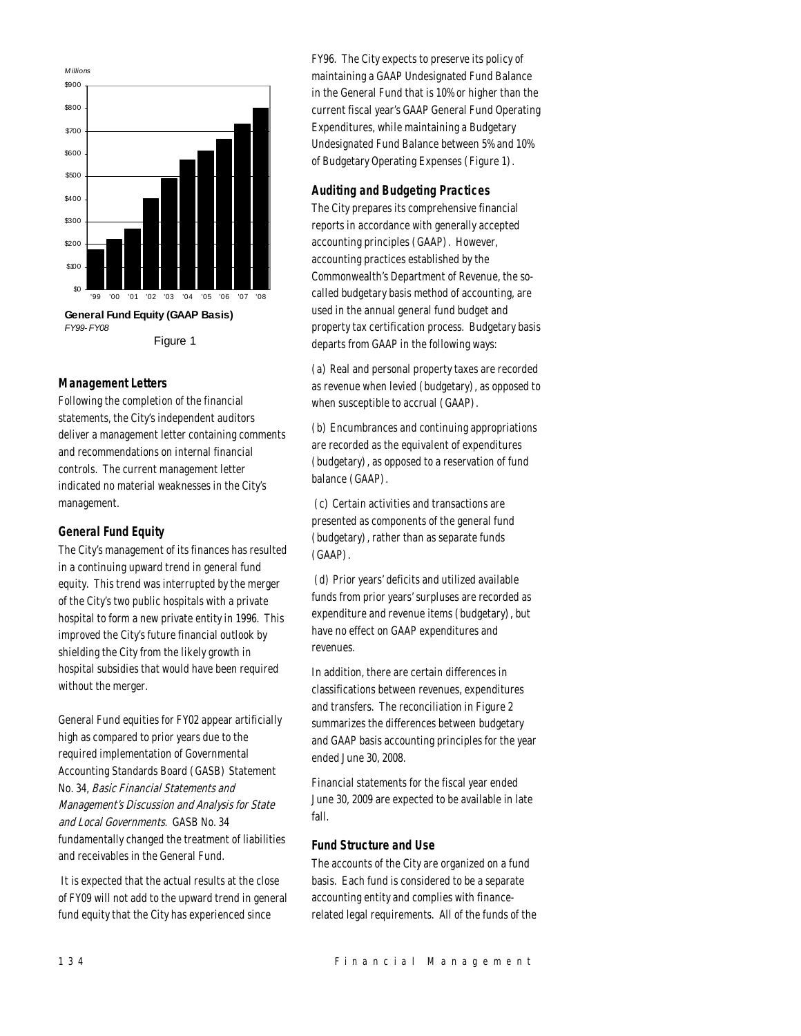

## *Management Letters*

Following the completion of the financial statements, the City's independent auditors deliver a management letter containing comments and recommendations on internal financial controls. The current management letter indicated no material weaknesses in the City's management.

# *General Fund Equity*

The City's management of its finances has resulted in a continuing upward trend in general fund equity. This trend was interrupted by the merger of the City's two public hospitals with a private hospital to form a new private entity in 1996. This improved the City's future financial outlook by shielding the City from the likely growth in hospital subsidies that would have been required without the merger.

General Fund equities for FY02 appear artificially high as compared to prior years due to the required implementation of Governmental Accounting Standards Board (GASB) Statement No. 34, Basic Financial Statements and Management's Discussion and Analysis for State and Local Governments. GASB No. 34 fundamentally changed the treatment of liabilities and receivables in the General Fund.

 It is expected that the actual results at the close of FY09 will not add to the upward trend in general fund equity that the City has experienced since

FY96. The City expects to preserve its policy of maintaining a GAAP Undesignated Fund Balance in the General Fund that is 10% or higher than the current fiscal year's GAAP General Fund Operating Expenditures, while maintaining a Budgetary Undesignated Fund Balance between 5% and 10% of Budgetary Operating Expenses (Figure 1).

# *Auditing and Budgeting Practices*

The City prepares its comprehensive financial reports in accordance with generally accepted accounting principles (GAAP). However, accounting practices established by the Commonwealth's Department of Revenue, the socalled budgetary basis method of accounting, are used in the annual general fund budget and property tax certification process. Budgetary basis departs from GAAP in the following ways:

(a) Real and personal property taxes are recorded as revenue when levied (budgetary), as opposed to when susceptible to accrual (GAAP).

(b) Encumbrances and continuing appropriations are recorded as the equivalent of expenditures (budgetary), as opposed to a reservation of fund balance (GAAP).

 (c) Certain activities and transactions are presented as components of the general fund (budgetary), rather than as separate funds (GAAP).

 (d) Prior years' deficits and utilized available funds from prior years' surpluses are recorded as expenditure and revenue items (budgetary), but have no effect on GAAP expenditures and revenues.

In addition, there are certain differences in classifications between revenues, expenditures and transfers. The reconciliation in Figure 2 summarizes the differences between budgetary and GAAP basis accounting principles for the year ended June 30, 2008.

Financial statements for the fiscal year ended June 30, 2009 are expected to be available in late fall.

# *Fund Structure and Use*

The accounts of the City are organized on a fund basis. Each fund is considered to be a separate accounting entity and complies with financerelated legal requirements. All of the funds of the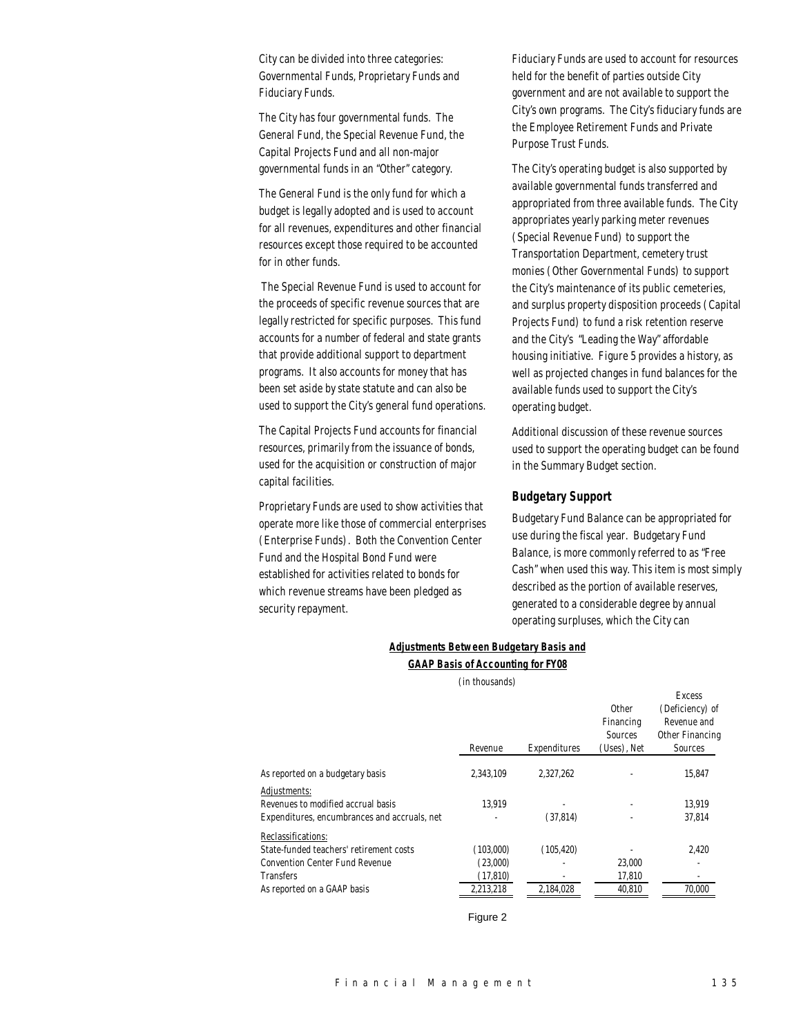City can be divided into three categories: Governmental Funds, Proprietary Funds and Fiduciary Funds.

The City has four governmental funds. The General Fund, the Special Revenue Fund, the Capital Projects Fund and all non-major governmental funds in an "Other" category.

The General Fund is the only fund for which a budget is legally adopted and is used to account for all revenues, expenditures and other financial resources except those required to be accounted for in other funds.

 The Special Revenue Fund is used to account for the proceeds of specific revenue sources that are legally restricted for specific purposes. This fund accounts for a number of federal and state grants that provide additional support to department programs. It also accounts for money that has been set aside by state statute and can also be used to support the City's general fund operations.

The Capital Projects Fund accounts for financial resources, primarily from the issuance of bonds, used for the acquisition or construction of major capital facilities.

Proprietary Funds are used to show activities that operate more like those of commercial enterprises (Enterprise Funds). Both the Convention Center Fund and the Hospital Bond Fund were established for activities related to bonds for which revenue streams have been pledged as security repayment.

Fiduciary Funds are used to account for resources held for the benefit of parties outside City government and are not available to support the City's own programs. The City's fiduciary funds are the Employee Retirement Funds and Private Purpose Trust Funds.

The City's operating budget is also supported by available governmental funds transferred and appropriated from three available funds. The City appropriates yearly parking meter revenues (Special Revenue Fund) to support the Transportation Department, cemetery trust monies (Other Governmental Funds) to support the City's maintenance of its public cemeteries, and surplus property disposition proceeds (Capital Projects Fund) to fund a risk retention reserve and the City's "Leading the Way" affordable housing initiative. Figure 5 provides a history, as well as projected changes in fund balances for the available funds used to support the City's operating budget.

Additional discussion of these revenue sources used to support the operating budget can be found in the Summary Budget section.

#### *Budgetary Support*

Budgetary Fund Balance can be appropriated for use during the fiscal year. Budgetary Fund Balance, is more commonly referred to as "Free Cash" when used this way. This item is most simply described as the portion of available reserves, generated to a considerable degree by annual operating surpluses, which the City can

Excess

## *Adjustments Between Budgetary Basis and GAAP Basis of Accounting for FY08*

(in thousands)

|                                                    |           |              | Other<br>Financing<br>Sources | (Deficiency) of<br>Revenue and<br>Other Financing |
|----------------------------------------------------|-----------|--------------|-------------------------------|---------------------------------------------------|
|                                                    | Revenue   | Expenditures | (Uses), Net                   | Sources                                           |
| As reported on a budgetary basis                   | 2.343.109 | 2.327.262    |                               | 15,847                                            |
| Adjustments:<br>Revenues to modified accrual basis | 13.919    |              |                               | 13.919                                            |
| Expenditures, encumbrances and accruals, net       |           | (37, 814)    |                               | 37.814                                            |
| Reclassifications:                                 |           |              |                               |                                                   |
| State-funded teachers' retirement costs            | (103,000) | (105.420)    |                               | 2.420                                             |
| <b>Convention Center Fund Revenue</b>              | (23,000)  |              | 23,000                        |                                                   |
| <b>Transfers</b>                                   | (17, 810) |              | 17,810                        |                                                   |
| As reported on a GAAP basis                        | 2.213.218 | 2.184.028    | 40.810                        | 70.000                                            |

Figure 2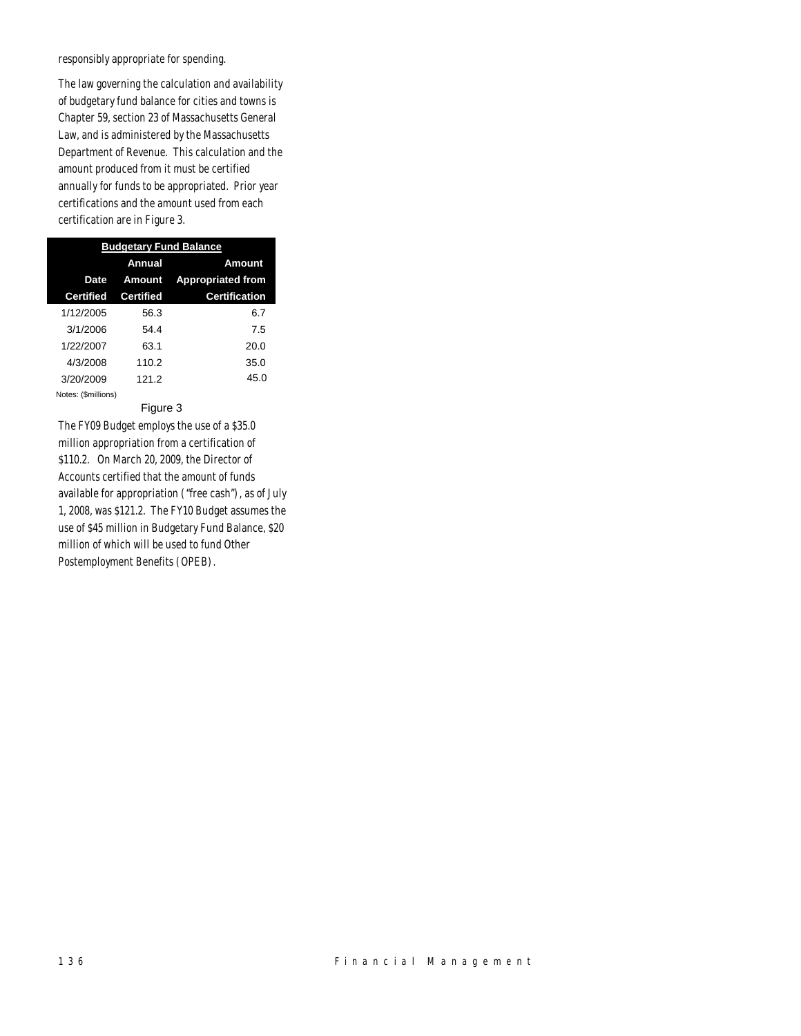responsibly appropriate for spending.

The law governing the calculation and availability of budgetary fund balance for cities and towns is Chapter 59, section 23 of Massachusetts General Law, and is administered by the Massachusetts Department of Revenue. This calculation and the amount produced from it must be certified annually for funds to be appropriated. Prior year certifications and the amount used from each certification are in Figure 3.

| <b>Budgetary Fund Balance</b> |                  |                          |  |  |
|-------------------------------|------------------|--------------------------|--|--|
|                               | Annual           | Amount                   |  |  |
| Date                          | Amount           | <b>Appropriated from</b> |  |  |
| <b>Certified</b>              | <b>Certified</b> | <b>Certification</b>     |  |  |
| 1/12/2005                     | 56.3             | 6.7                      |  |  |
| 3/1/2006                      | 54.4             | 7.5                      |  |  |
| 1/22/2007                     | 63.1             | 20.0                     |  |  |
| 4/3/2008                      | 110.2            | 35.0                     |  |  |
| 3/20/2009                     | 121.2            | 45.0                     |  |  |
| Notes: (\$millions)           |                  |                          |  |  |

#### Figure 3

The FY09 Budget employs the use of a \$35.0 million appropriation from a certification of \$110.2. On March 20, 2009, the Director of Accounts certified that the amount of funds available for appropriation ("free cash"), as of July 1, 2008, was \$121.2. The FY10 Budget assumes the use of \$45 million in Budgetary Fund Balance, \$20 million of which will be used to fund Other Postemployment Benefits (OPEB).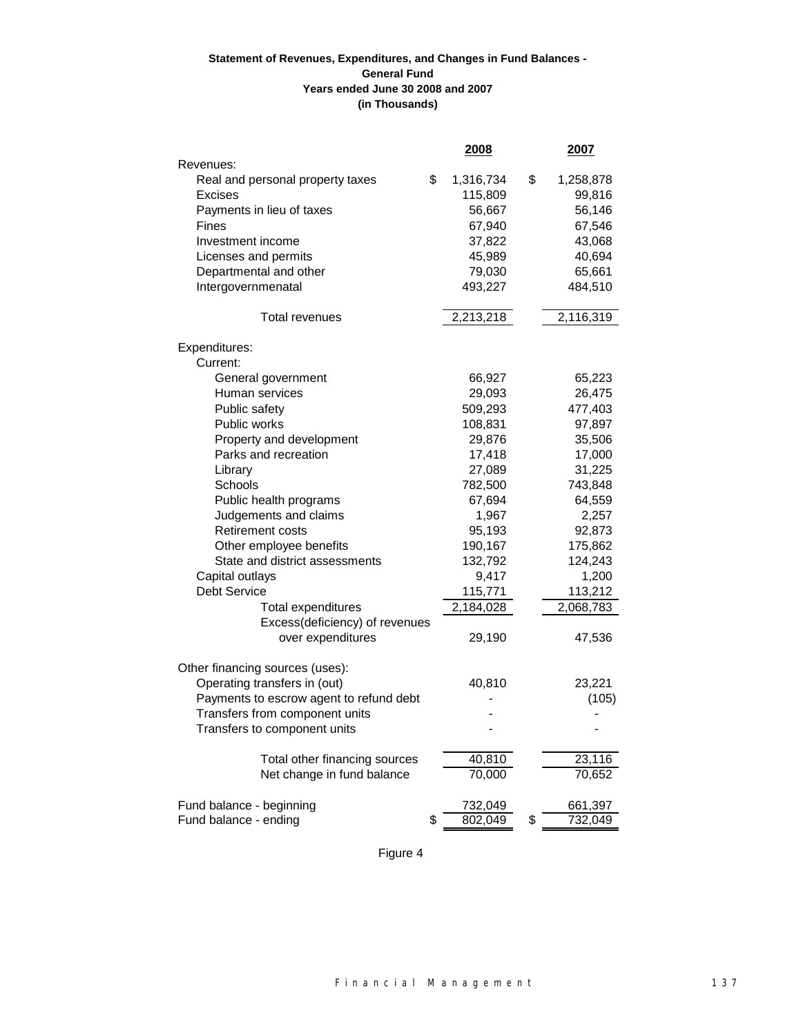# **(in Thousands) Statement of Revenues, Expenditures, and Changes in Fund Balances - General Fund Years ended June 30 2008 and 2007**

|                                         | 2008            | 2007            |
|-----------------------------------------|-----------------|-----------------|
| Revenues:                               |                 |                 |
| Real and personal property taxes        | \$<br>1,316,734 | \$<br>1,258,878 |
| <b>Excises</b>                          | 115,809         | 99,816          |
| Payments in lieu of taxes               | 56,667          | 56,146          |
| Fines                                   | 67,940          | 67,546          |
| Investment income                       | 37,822          | 43,068          |
| Licenses and permits                    | 45,989          | 40,694          |
| Departmental and other                  | 79,030          | 65,661          |
| Intergovernmenatal                      | 493,227         | 484,510         |
| Total revenues                          | 2,213,218       | 2,116,319       |
| Expenditures:                           |                 |                 |
| Current:                                |                 |                 |
| General government                      | 66,927          | 65,223          |
| Human services                          | 29,093          | 26,475          |
| Public safety                           | 509,293         | 477,403         |
| Public works                            | 108,831         | 97,897          |
| Property and development                | 29,876          | 35,506          |
| Parks and recreation                    | 17,418          | 17,000          |
| Library                                 | 27,089          | 31,225          |
| Schools                                 | 782,500         | 743,848         |
| Public health programs                  | 67,694          | 64,559          |
| Judgements and claims                   | 1,967           | 2,257           |
| <b>Retirement costs</b>                 | 95,193          | 92,873          |
| Other employee benefits                 | 190,167         | 175,862         |
| State and district assessments          | 132,792         | 124,243         |
| Capital outlays                         | 9,417           | 1,200           |
| <b>Debt Service</b>                     | 115,771         | 113,212         |
| <b>Total expenditures</b>               | 2,184,028       | 2,068,783       |
| Excess(deficiency) of revenues          |                 |                 |
| over expenditures                       | 29,190          | 47,536          |
| Other financing sources (uses):         |                 |                 |
| Operating transfers in (out)            | 40,810          | 23,221          |
| Payments to escrow agent to refund debt |                 | (105)           |
| Transfers from component units          |                 |                 |
| Transfers to component units            |                 |                 |
| Total other financing sources           | 40,810          | 23,116          |
| Net change in fund balance              | 70,000          | 70,652          |
| Fund balance - beginning                | 732,049         | 661,397         |
| Fund balance - ending                   | \$<br>802,049   | \$<br>732,049   |
|                                         |                 |                 |

Figure 4